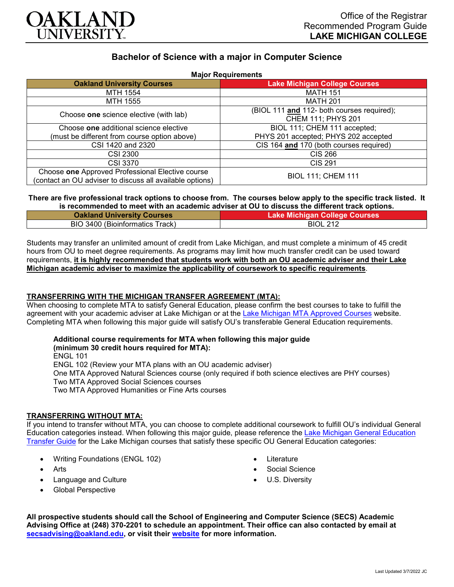

# **Bachelor of Science with a major in Computer Science**

| <b>Major Requirements</b>                                |                                            |
|----------------------------------------------------------|--------------------------------------------|
| <b>Oakland University Courses</b>                        | <b>Lake Michigan College Courses</b>       |
| MTH 1554                                                 | <b>MATH 151</b>                            |
| MTH 1555                                                 | <b>MATH 201</b>                            |
| Choose one science elective (with lab)                   | (BIOL 111 and 112- both courses required); |
|                                                          | CHEM 111; PHYS 201                         |
| Choose one additional science elective                   | BIOL 111; CHEM 111 accepted;               |
| (must be different from course option above)             | PHYS 201 accepted; PHYS 202 accepted       |
| CSI 1420 and 2320                                        | CIS 164 and 170 (both courses required)    |
| CSI 2300                                                 | <b>CIS 266</b>                             |
| <b>CSI 3370</b>                                          | <b>CIS 291</b>                             |
| Choose one Approved Professional Elective course         | <b>BIOL 111; CHEM 111</b>                  |
| (contact an OU adviser to discuss all available options) |                                            |

# **There are five professional track options to choose from. The courses below apply to the specific track listed. It**

| is recommended to meet with an academic adviser at OU to discuss the different track options. |                                      |
|-----------------------------------------------------------------------------------------------|--------------------------------------|
| <b>Oakland University Courses</b>                                                             | <b>Lake Michigan College Courses</b> |
| BIO 3400 (Bioinformatics Track)                                                               | <b>BIOL 212</b>                      |

Students may transfer an unlimited amount of credit from Lake Michigan, and must complete a minimum of 45 credit hours from OU to meet degree requirements. As programs may limit how much transfer credit can be used toward requirements, **it is highly recommended that students work with both an OU academic adviser and their Lake Michigan academic adviser to maximize the applicability of coursework to specific requirements**.

## **TRANSFERRING WITH THE MICHIGAN TRANSFER AGREEMENT (MTA):**

When choosing to complete MTA to satisfy General Education, please confirm the best courses to take to fulfill the agreement with your academic adviser at Lake Michigan or at the [Lake Michigan MTA Approved Courses](https://www.lakemichigancollege.edu/academics/educational-goals/transfer/transfer-information) website. Completing MTA when following this major guide will satisfy OU's transferable General Education requirements.

#### **Additional course requirements for MTA when following this major guide (minimum 30 credit hours required for MTA):**

ENGL 101 ENGL 102 (Review your MTA plans with an OU academic adviser) One MTA Approved Natural Sciences course (only required if both science electives are PHY courses) Two MTA Approved Social Sciences courses Two MTA Approved Humanities or Fine Arts courses

## **TRANSFERRING WITHOUT MTA:**

If you intend to transfer without MTA, you can choose to complete additional coursework to fulfill OU's individual General Education categories instead. When following this major guide, please reference the [Lake Michigan General Education](https://www.oakland.edu/Assets/Oakland/program-guides/lake-michigan-college/university-general-education-requirements/Lake%20Michigan%20Gen%20Ed.pdf)  [Transfer Guide](https://www.oakland.edu/Assets/Oakland/program-guides/lake-michigan-college/university-general-education-requirements/Lake%20Michigan%20Gen%20Ed.pdf) for the Lake Michigan courses that satisfy these specific OU General Education categories:

- Writing Foundations (ENGL 102)
- Arts
- Language and Culture
- Global Perspective
- Literature
- Social Science
- U.S. Diversity

**All prospective students should call the School of Engineering and Computer Science (SECS) Academic Advising Office at (248) 370-2201 to schedule an appointment. Their office can also contacted by email at [secsadvising@oakland.edu,](mailto:secsadvising@oakland.edu) or visit their [website](https://wwwp.oakland.edu/secs/advising/) for more information.**